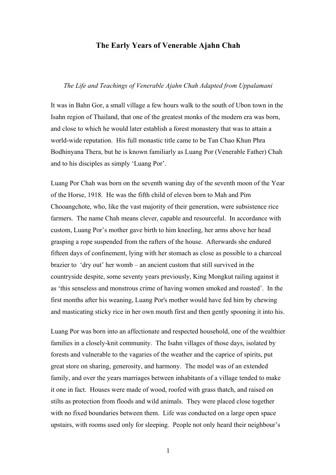## **The Early Years of Venerable Ajahn Chah**

## *The Life and Teachings of Venerable Ajahn Chah Adapted from Uppalamani*

It was in Bahn Gor, a small village a few hours walk to the south of Ubon town in the Isahn region of Thailand, that one of the greatest monks of the modern era was born, and close to which he would later establish a forest monastery that was to attain a world-wide reputation. His full monastic title came to be Tan Chao Khun Phra Bodhinyana Thera, but he is known familiarly as Luang Por (Venerable Father) Chah and to his disciples as simply 'Luang Por'.

Luang Por Chah was born on the seventh waning day of the seventh moon of the Year of the Horse, 1918. He was the fifth child of eleven born to Mah and Pim Chooangchote, who, like the vast majority of their generation, were subsistence rice farmers. The name Chah means clever, capable and resourceful. In accordance with custom, Luang Por's mother gave birth to him kneeling, her arms above her head grasping a rope suspended from the rafters of the house. Afterwards she endured fifteen days of confinement, lying with her stomach as close as possible to a charcoal brazier to 'dry out' her womb – an ancient custom that still survived in the countryside despite, some seventy years previously, King Mongkut railing against it as 'this senseless and monstrous crime of having women smoked and roasted'. In the first months after his weaning, Luang Por's mother would have fed him by chewing and masticating sticky rice in her own mouth first and then gently spooning it into his.

Luang Por was born into an affectionate and respected household, one of the wealthier families in a closely-knit community. The Isahn villages of those days, isolated by forests and vulnerable to the vagaries of the weather and the caprice of spirits, put great store on sharing, generosity, and harmony. The model was of an extended family, and over the years marriages between inhabitants of a village tended to make it one in fact. Houses were made of wood, roofed with grass thatch, and raised on stilts as protection from floods and wild animals. They were placed close together with no fixed boundaries between them. Life was conducted on a large open space upstairs, with rooms used only for sleeping. People not only heard their neighbour's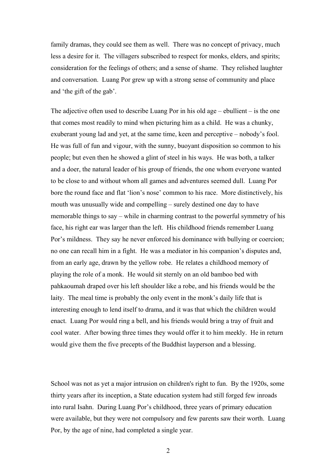family dramas, they could see them as well. There was no concept of privacy, much less a desire for it. The villagers subscribed to respect for monks, elders, and spirits; consideration for the feelings of others; and a sense of shame. They relished laughter and conversation. Luang Por grew up with a strong sense of community and place and 'the gift of the gab'.

The adjective often used to describe Luang Por in his old age – ebullient – is the one that comes most readily to mind when picturing him as a child. He was a chunky, exuberant young lad and yet, at the same time, keen and perceptive – nobody's fool. He was full of fun and vigour, with the sunny, buoyant disposition so common to his people; but even then he showed a glint of steel in his ways. He was both, a talker and a doer, the natural leader of his group of friends, the one whom everyone wanted to be close to and without whom all games and adventures seemed dull. Luang Por bore the round face and flat 'lion's nose' common to his race. More distinctively, his mouth was unusually wide and compelling – surely destined one day to have memorable things to say – while in charming contrast to the powerful symmetry of his face, his right ear was larger than the left. His childhood friends remember Luang Por's mildness. They say he never enforced his dominance with bullying or coercion; no one can recall him in a fight. He was a mediator in his companion's disputes and, from an early age, drawn by the yellow robe. He relates a childhood memory of playing the role of a monk. He would sit sternly on an old bamboo bed with pahkaoumah draped over his left shoulder like a robe, and his friends would be the laity. The meal time is probably the only event in the monk's daily life that is interesting enough to lend itself to drama, and it was that which the children would enact. Luang Por would ring a bell, and his friends would bring a tray of fruit and cool water. After bowing three times they would offer it to him meekly. He in return would give them the five precepts of the Buddhist layperson and a blessing.

School was not as yet a major intrusion on children's right to fun. By the 1920s, some thirty years after its inception, a State education system had still forged few inroads into rural Isahn. During Luang Por's childhood, three years of primary education were available, but they were not compulsory and few parents saw their worth. Luang Por, by the age of nine, had completed a single year.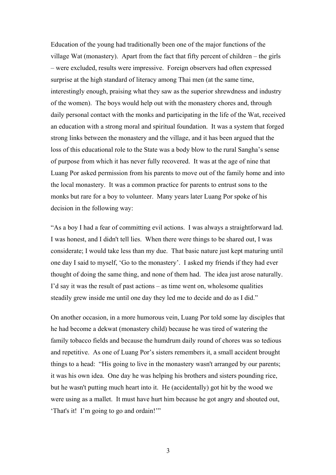Education of the young had traditionally been one of the major functions of the village Wat (monastery). Apart from the fact that fifty percent of children – the girls – were excluded, results were impressive. Foreign observers had often expressed surprise at the high standard of literacy among Thai men (at the same time, interestingly enough, praising what they saw as the superior shrewdness and industry of the women). The boys would help out with the monastery chores and, through daily personal contact with the monks and participating in the life of the Wat, received an education with a strong moral and spiritual foundation. It was a system that forged strong links between the monastery and the village, and it has been argued that the loss of this educational role to the State was a body blow to the rural Sangha's sense of purpose from which it has never fully recovered. It was at the age of nine that Luang Por asked permission from his parents to move out of the family home and into the local monastery. It was a common practice for parents to entrust sons to the monks but rare for a boy to volunteer. Many years later Luang Por spoke of his decision in the following way:

"As a boy I had a fear of committing evil actions. I was always a straightforward lad. I was honest, and I didn't tell lies. When there were things to be shared out, I was considerate; I would take less than my due. That basic nature just kept maturing until one day I said to myself, 'Go to the monastery'. I asked my friends if they had ever thought of doing the same thing, and none of them had. The idea just arose naturally. I'd say it was the result of past actions – as time went on, wholesome qualities steadily grew inside me until one day they led me to decide and do as I did."

On another occasion, in a more humorous vein, Luang Por told some lay disciples that he had become a dekwat (monastery child) because he was tired of watering the family tobacco fields and because the humdrum daily round of chores was so tedious and repetitive. As one of Luang Por's sisters remembers it, a small accident brought things to a head: "His going to live in the monastery wasn't arranged by our parents; it was his own idea. One day he was helping his brothers and sisters pounding rice, but he wasn't putting much heart into it. He (accidentally) got hit by the wood we were using as a mallet. It must have hurt him because he got angry and shouted out, 'That's it! I'm going to go and ordain!'"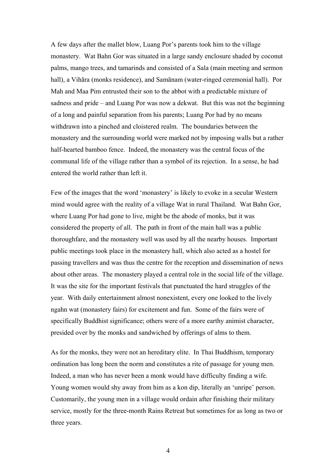A few days after the mallet blow, Luang Por's parents took him to the village monastery. Wat Bahn Gor was situated in a large sandy enclosure shaded by coconut palms, mango trees, and tamarinds and consisted of a Sala (main meeting and sermon hall), a Vihāra (monks residence), and Samānam (water-ringed ceremonial hall). Por Mah and Maa Pim entrusted their son to the abbot with a predictable mixture of sadness and pride – and Luang Por was now a dekwat. But this was not the beginning of a long and painful separation from his parents; Luang Por had by no means withdrawn into a pinched and cloistered realm. The boundaries between the monastery and the surrounding world were marked not by imposing walls but a rather half-hearted bamboo fence. Indeed, the monastery was the central focus of the communal life of the village rather than a symbol of its rejection. In a sense, he had entered the world rather than left it.

Few of the images that the word 'monastery' is likely to evoke in a secular Western mind would agree with the reality of a village Wat in rural Thailand. Wat Bahn Gor, where Luang Por had gone to live, might be the abode of monks, but it was considered the property of all. The path in front of the main hall was a public thoroughfare, and the monastery well was used by all the nearby houses. Important public meetings took place in the monastery hall, which also acted as a hostel for passing travellers and was thus the centre for the reception and dissemination of news about other areas. The monastery played a central role in the social life of the village. It was the site for the important festivals that punctuated the hard struggles of the year. With daily entertainment almost nonexistent, every one looked to the lively ngahn wat (monastery fairs) for excitement and fun. Some of the fairs were of specifically Buddhist significance; others were of a more earthy animist character, presided over by the monks and sandwiched by offerings of alms to them.

As for the monks, they were not an hereditary elite. In Thai Buddhism, temporary ordination has long been the norm and constitutes a rite of passage for young men. Indeed, a man who has never been a monk would have difficulty finding a wife. Young women would shy away from him as a kon dip, literally an 'unripe' person. Customarily, the young men in a village would ordain after finishing their military service, mostly for the three-month Rains Retreat but sometimes for as long as two or three years.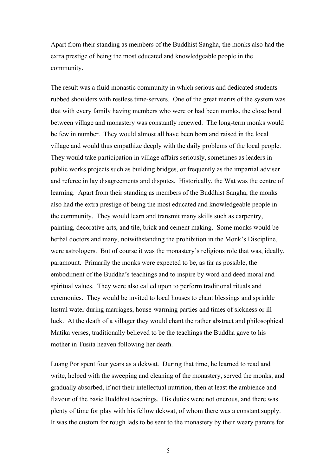Apart from their standing as members of the Buddhist Sangha, the monks also had the extra prestige of being the most educated and knowledgeable people in the community.

The result was a fluid monastic community in which serious and dedicated students rubbed shoulders with restless time-servers. One of the great merits of the system was that with every family having members who were or had been monks, the close bond between village and monastery was constantly renewed. The long-term monks would be few in number. They would almost all have been born and raised in the local village and would thus empathize deeply with the daily problems of the local people. They would take participation in village affairs seriously, sometimes as leaders in public works projects such as building bridges, or frequently as the impartial adviser and referee in lay disagreements and disputes. Historically, the Wat was the centre of learning. Apart from their standing as members of the Buddhist Sangha, the monks also had the extra prestige of being the most educated and knowledgeable people in the community. They would learn and transmit many skills such as carpentry, painting, decorative arts, and tile, brick and cement making. Some monks would be herbal doctors and many, notwithstanding the prohibition in the Monk's Discipline, were astrologers. But of course it was the monastery's religious role that was, ideally, paramount. Primarily the monks were expected to be, as far as possible, the embodiment of the Buddha's teachings and to inspire by word and deed moral and spiritual values. They were also called upon to perform traditional rituals and ceremonies. They would be invited to local houses to chant blessings and sprinkle lustral water during marriages, house-warming parties and times of sickness or ill luck. At the death of a villager they would chant the rather abstract and philosophical Matika verses, traditionally believed to be the teachings the Buddha gave to his mother in Tusita heaven following her death.

Luang Por spent four years as a dekwat. During that time, he learned to read and write, helped with the sweeping and cleaning of the monastery, served the monks, and gradually absorbed, if not their intellectual nutrition, then at least the ambience and flavour of the basic Buddhist teachings. His duties were not onerous, and there was plenty of time for play with his fellow dekwat, of whom there was a constant supply. It was the custom for rough lads to be sent to the monastery by their weary parents for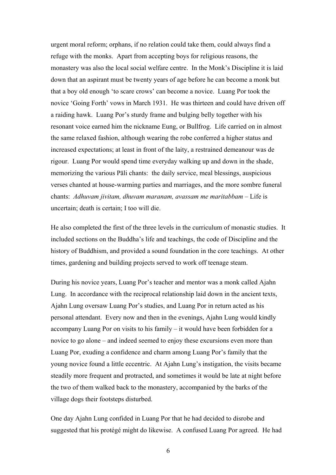urgent moral reform; orphans, if no relation could take them, could always find a refuge with the monks. Apart from accepting boys for religious reasons, the monastery was also the local social welfare centre. In the Monk's Discipline it is laid down that an aspirant must be twenty years of age before he can become a monk but that a boy old enough 'to scare crows' can become a novice. Luang Por took the novice 'Going Forth' vows in March 1931. He was thirteen and could have driven off a raiding hawk. Luang Por's sturdy frame and bulging belly together with his resonant voice earned him the nickname Eung, or Bullfrog. Life carried on in almost the same relaxed fashion, although wearing the robe conferred a higher status and increased expectations; at least in front of the laity, a restrained demeanour was de rigour. Luang Por would spend time everyday walking up and down in the shade, memorizing the various Pāli chants: the daily service, meal blessings, auspicious verses chanted at house-warming parties and marriages, and the more sombre funeral chants: *Adhuvam jivitam, dhuvam maranam, avassam me maritabbam* – Life is uncertain; death is certain; I too will die.

He also completed the first of the three levels in the curriculum of monastic studies. It included sections on the Buddha's life and teachings, the code of Discipline and the history of Buddhism, and provided a sound foundation in the core teachings. At other times, gardening and building projects served to work off teenage steam.

During his novice years, Luang Por's teacher and mentor was a monk called Ajahn Lung. In accordance with the reciprocal relationship laid down in the ancient texts, Ajahn Lung oversaw Luang Por's studies, and Luang Por in return acted as his personal attendant. Every now and then in the evenings, Ajahn Lung would kindly accompany Luang Por on visits to his family – it would have been forbidden for a novice to go alone – and indeed seemed to enjoy these excursions even more than Luang Por, exuding a confidence and charm among Luang Por's family that the young novice found a little eccentric. At Ajahn Lung's instigation, the visits became steadily more frequent and protracted, and sometimes it would be late at night before the two of them walked back to the monastery, accompanied by the barks of the village dogs their footsteps disturbed.

One day Ajahn Lung confided in Luang Por that he had decided to disrobe and suggested that his protégé might do likewise. A confused Luang Por agreed. He had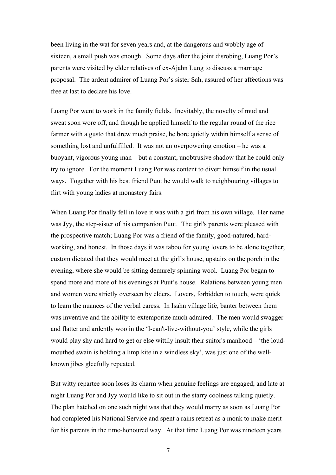been living in the wat for seven years and, at the dangerous and wobbly age of sixteen, a small push was enough. Some days after the joint disrobing, Luang Por's parents were visited by elder relatives of ex-Ajahn Lung to discuss a marriage proposal. The ardent admirer of Luang Por's sister Sah, assured of her affections was free at last to declare his love.

Luang Por went to work in the family fields. Inevitably, the novelty of mud and sweat soon wore off, and though he applied himself to the regular round of the rice farmer with a gusto that drew much praise, he bore quietly within himself a sense of something lost and unfulfilled. It was not an overpowering emotion – he was a buoyant, vigorous young man – but a constant, unobtrusive shadow that he could only try to ignore. For the moment Luang Por was content to divert himself in the usual ways. Together with his best friend Puut he would walk to neighbouring villages to flirt with young ladies at monastery fairs.

When Luang Por finally fell in love it was with a girl from his own village. Her name was Jyy, the step-sister of his companion Puut. The girl's parents were pleased with the prospective match; Luang Por was a friend of the family, good-natured, hardworking, and honest. In those days it was taboo for young lovers to be alone together; custom dictated that they would meet at the girl's house, upstairs on the porch in the evening, where she would be sitting demurely spinning wool. Luang Por began to spend more and more of his evenings at Puut's house. Relations between young men and women were strictly overseen by elders. Lovers, forbidden to touch, were quick to learn the nuances of the verbal caress. In Isahn village life, banter between them was inventive and the ability to extemporize much admired. The men would swagger and flatter and ardently woo in the 'I-can't-live-without-you' style, while the girls would play shy and hard to get or else wittily insult their suitor's manhood – 'the loudmouthed swain is holding a limp kite in a windless sky', was just one of the wellknown jibes gleefully repeated.

But witty repartee soon loses its charm when genuine feelings are engaged, and late at night Luang Por and Jyy would like to sit out in the starry coolness talking quietly. The plan hatched on one such night was that they would marry as soon as Luang Por had completed his National Service and spent a rains retreat as a monk to make merit for his parents in the time-honoured way. At that time Luang Por was nineteen years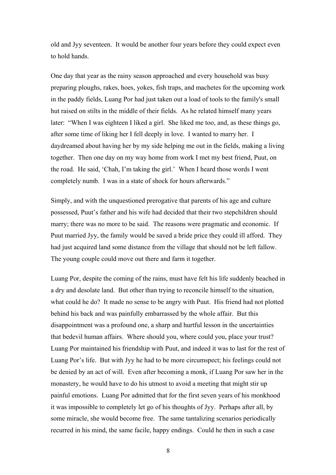old and Jyy seventeen. It would be another four years before they could expect even to hold hands.

One day that year as the rainy season approached and every household was busy preparing ploughs, rakes, hoes, yokes, fish traps, and machetes for the upcoming work in the paddy fields, Luang Por had just taken out a load of tools to the family's small hut raised on stilts in the middle of their fields. As he related himself many years later: "When I was eighteen I liked a girl. She liked me too, and, as these things go, after some time of liking her I fell deeply in love. I wanted to marry her. I daydreamed about having her by my side helping me out in the fields, making a living together. Then one day on my way home from work I met my best friend, Puut, on the road. He said, 'Chah, I'm taking the girl.' When I heard those words I went completely numb. I was in a state of shock for hours afterwards."

Simply, and with the unquestioned prerogative that parents of his age and culture possessed, Puut's father and his wife had decided that their two stepchildren should marry; there was no more to be said. The reasons were pragmatic and economic. If Puut married Jyy, the family would be saved a bride price they could ill afford. They had just acquired land some distance from the village that should not be left fallow. The young couple could move out there and farm it together.

Luang Por, despite the coming of the rains, must have felt his life suddenly beached in a dry and desolate land. But other than trying to reconcile himself to the situation, what could he do? It made no sense to be angry with Puut. His friend had not plotted behind his back and was painfully embarrassed by the whole affair. But this disappointment was a profound one, a sharp and hurtful lesson in the uncertainties that bedevil human affairs. Where should you, where could you, place your trust? Luang Por maintained his friendship with Puut, and indeed it was to last for the rest of Luang Por's life. But with Jyy he had to be more circumspect; his feelings could not be denied by an act of will. Even after becoming a monk, if Luang Por saw her in the monastery, he would have to do his utmost to avoid a meeting that might stir up painful emotions. Luang Por admitted that for the first seven years of his monkhood it was impossible to completely let go of his thoughts of Jyy. Perhaps after all, by some miracle, she would become free. The same tantalizing scenarios periodically recurred in his mind, the same facile, happy endings. Could he then in such a case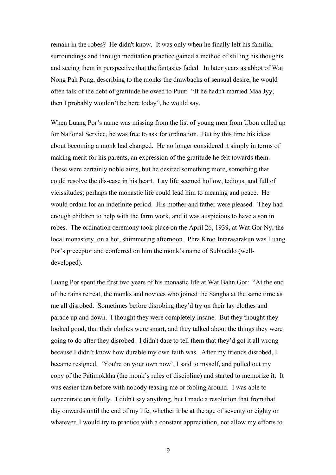remain in the robes? He didn't know. It was only when he finally left his familiar surroundings and through meditation practice gained a method of stilling his thoughts and seeing them in perspective that the fantasies faded. In later years as abbot of Wat Nong Pah Pong, describing to the monks the drawbacks of sensual desire, he would often talk of the debt of gratitude he owed to Puut: "If he hadn't married Maa Jyy, then I probably wouldn't be here today", he would say.

When Luang Por's name was missing from the list of young men from Ubon called up for National Service, he was free to ask for ordination. But by this time his ideas about becoming a monk had changed. He no longer considered it simply in terms of making merit for his parents, an expression of the gratitude he felt towards them. These were certainly noble aims, but he desired something more, something that could resolve the dis-ease in his heart. Lay life seemed hollow, tedious, and full of vicissitudes; perhaps the monastic life could lead him to meaning and peace. He would ordain for an indefinite period. His mother and father were pleased. They had enough children to help with the farm work, and it was auspicious to have a son in robes. The ordination ceremony took place on the April 26, 1939, at Wat Gor Ny, the local monastery, on a hot, shimmering afternoon. Phra Kroo Intarasarakun was Luang Por's preceptor and conferred on him the monk's name of Subhaddo (welldeveloped).

Luang Por spent the first two years of his monastic life at Wat Bahn Gor: "At the end of the rains retreat, the monks and novices who joined the Sangha at the same time as me all disrobed. Sometimes before disrobing they'd try on their lay clothes and parade up and down. I thought they were completely insane. But they thought they looked good, that their clothes were smart, and they talked about the things they were going to do after they disrobed. I didn't dare to tell them that they'd got it all wrong because I didn't know how durable my own faith was. After my friends disrobed, I became resigned. 'You're on your own now', I said to myself, and pulled out my copy of the Pātimokkha (the monk's rules of discipline) and started to memorize it. It was easier than before with nobody teasing me or fooling around. I was able to concentrate on it fully. I didn't say anything, but I made a resolution that from that day onwards until the end of my life, whether it be at the age of seventy or eighty or whatever, I would try to practice with a constant appreciation, not allow my efforts to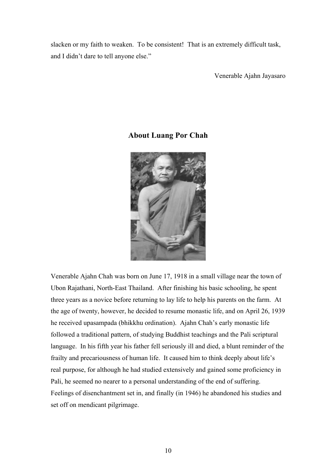slacken or my faith to weaken. To be consistent! That is an extremely difficult task, and I didn't dare to tell anyone else."

Venerable Ajahn Jayasaro

## **About Luang Por Chah**



Venerable Ajahn Chah was born on June 17, 1918 in a small village near the town of Ubon Rajathani, North-East Thailand. After finishing his basic schooling, he spent three years as a novice before returning to lay life to help his parents on the farm. At the age of twenty, however, he decided to resume monastic life, and on April 26, 1939 he received upasampada (bhikkhu ordination). Ajahn Chah's early monastic life followed a traditional pattern, of studying Buddhist teachings and the Pali scriptural language. In his fifth year his father fell seriously ill and died, a blunt reminder of the frailty and precariousness of human life. It caused him to think deeply about life's real purpose, for although he had studied extensively and gained some proficiency in Pali, he seemed no nearer to a personal understanding of the end of suffering. Feelings of disenchantment set in, and finally (in 1946) he abandoned his studies and set off on mendicant pilgrimage.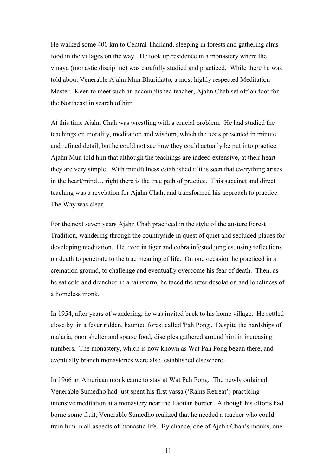He walked some 400 km to Central Thailand, sleeping in forests and gathering alms food in the villages on the way. He took up residence in a monastery where the vinaya (monastic discipline) was carefully studied and practiced. While there he was told about Venerable Ajahn Mun Bhuridatto, a most highly respected Meditation Master. Keen to meet such an accomplished teacher, Ajahn Chah set off on foot for the Northeast in search of him.

At this time Ajahn Chah was wrestling with a crucial problem. He had studied the teachings on morality, meditation and wisdom, which the texts presented in minute and refined detail, but he could not see how they could actually be put into practice. Ajahn Mun told him that although the teachings are indeed extensive, at their heart they are very simple. With mindfulness established if it is seen that everything arises in the heart/mind… right there is the true path of practice. This succinct and direct teaching was a revelation for Ajahn Chah, and transformed his approach to practice. The Way was clear.

For the next seven years Ajahn Chah practiced in the style of the austere Forest Tradition, wandering through the countryside in quest of quiet and secluded places for developing meditation. He lived in tiger and cobra infested jungles, using reflections on death to penetrate to the true meaning of life. On one occasion he practiced in a cremation ground, to challenge and eventually overcome his fear of death. Then, as he sat cold and drenched in a rainstorm, he faced the utter desolation and loneliness of a homeless monk.

In 1954, after years of wandering, he was invited back to his home village. He settled close by, in a fever ridden, haunted forest called 'Pah Pong'. Despite the hardships of malaria, poor shelter and sparse food, disciples gathered around him in increasing numbers. The monastery, which is now known as Wat Pah Pong began there, and eventually branch monasteries were also, established elsewhere.

In 1966 an American monk came to stay at Wat Pah Pong. The newly ordained Venerable Sumedho had just spent his first vassa ('Rains Retreat') practicing intensive meditation at a monastery near the Laotian border. Although his efforts had borne some fruit, Venerable Sumedho realized that he needed a teacher who could train him in all aspects of monastic life. By chance, one of Ajahn Chah's monks, one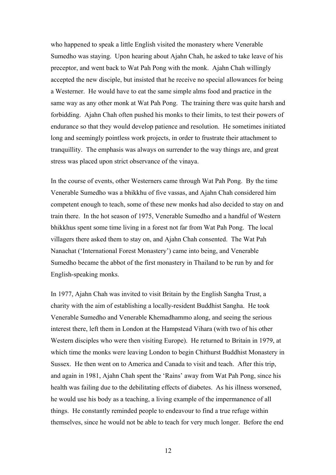who happened to speak a little English visited the monastery where Venerable Sumedho was staying. Upon hearing about Ajahn Chah, he asked to take leave of his preceptor, and went back to Wat Pah Pong with the monk. Ajahn Chah willingly accepted the new disciple, but insisted that he receive no special allowances for being a Westerner. He would have to eat the same simple alms food and practice in the same way as any other monk at Wat Pah Pong. The training there was quite harsh and forbidding. Ajahn Chah often pushed his monks to their limits, to test their powers of endurance so that they would develop patience and resolution. He sometimes initiated long and seemingly pointless work projects, in order to frustrate their attachment to tranquillity. The emphasis was always on surrender to the way things are, and great stress was placed upon strict observance of the vinaya.

In the course of events, other Westerners came through Wat Pah Pong. By the time Venerable Sumedho was a bhikkhu of five vassas, and Ajahn Chah considered him competent enough to teach, some of these new monks had also decided to stay on and train there. In the hot season of 1975, Venerable Sumedho and a handful of Western bhikkhus spent some time living in a forest not far from Wat Pah Pong. The local villagers there asked them to stay on, and Ajahn Chah consented. The Wat Pah Nanachat ('International Forest Monastery') came into being, and Venerable Sumedho became the abbot of the first monastery in Thailand to be run by and for English-speaking monks.

In 1977, Ajahn Chah was invited to visit Britain by the English Sangha Trust, a charity with the aim of establishing a locally-resident Buddhist Sangha. He took Venerable Sumedho and Venerable Khemadhammo along, and seeing the serious interest there, left them in London at the Hampstead Vihara (with two of his other Western disciples who were then visiting Europe). He returned to Britain in 1979, at which time the monks were leaving London to begin Chithurst Buddhist Monastery in Sussex. He then went on to America and Canada to visit and teach. After this trip, and again in 1981, Ajahn Chah spent the 'Rains' away from Wat Pah Pong, since his health was failing due to the debilitating effects of diabetes. As his illness worsened, he would use his body as a teaching, a living example of the impermanence of all things. He constantly reminded people to endeavour to find a true refuge within themselves, since he would not be able to teach for very much longer. Before the end